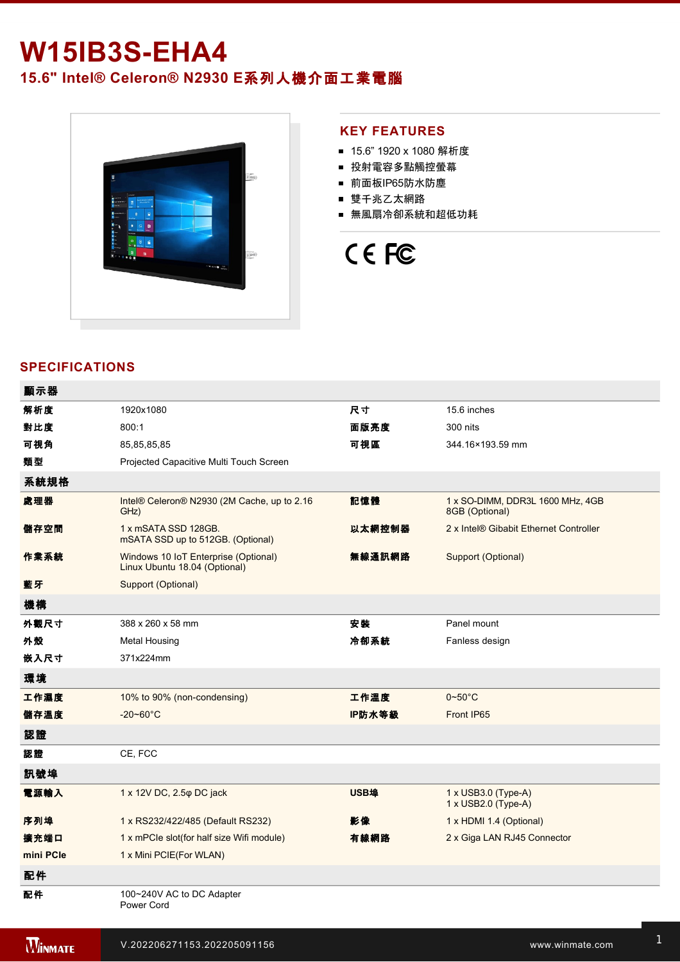## **W15IB3S-EHA4**

### **15.6" Intel® Celeron® N2930 E**系列人機介面工業電腦



### **KEY FEATURES**

- 15.6" 1920 x 1080 解析度
- 投射電容多點觸控螢幕
- 前面板IP65防水防塵
- 雙千兆乙太網路
- 無風扇冷卻系統和超低功耗

# CE FC

### **SPECIFICATIONS**

| 顯示器            |                                                                       |             |                                                    |
|----------------|-----------------------------------------------------------------------|-------------|----------------------------------------------------|
| 解析度            | 1920x1080                                                             | 尺寸          | 15.6 inches                                        |
| 對比度            | 800:1                                                                 | 面版亮度        | 300 nits                                           |
| 可視角            | 85,85,85,85                                                           | 可視區         | 344.16×193.59 mm                                   |
| 麵型             | Projected Capacitive Multi Touch Screen                               |             |                                                    |
| 系統規格           |                                                                       |             |                                                    |
| 處理器            | Intel® Celeron® N2930 (2M Cache, up to 2.16<br>GHz)                   | 記憶體         | 1 x SO-DIMM, DDR3L 1600 MHz, 4GB<br>8GB (Optional) |
| 儲存空間           | 1 x mSATA SSD 128GB.<br>mSATA SSD up to 512GB. (Optional)             | 以太網控制器      | 2 x Intel® Gibabit Ethernet Controller             |
| 作業系統           | Windows 10 IoT Enterprise (Optional)<br>Linux Ubuntu 18.04 (Optional) | 無線通訊網路      | Support (Optional)                                 |
| 藍牙             | Support (Optional)                                                    |             |                                                    |
| 機構             |                                                                       |             |                                                    |
| 外觀尺寸           | 388 x 260 x 58 mm                                                     | 安装          | Panel mount                                        |
| 外殼             | <b>Metal Housing</b>                                                  | 冷卻系統        | Fanless design                                     |
| 嵌入尺寸           | 371x224mm                                                             |             |                                                    |
| 環境             |                                                                       |             |                                                    |
| 工作濕度           | 10% to 90% (non-condensing)                                           | 工作溫度        | $0 - 50^{\circ}$ C                                 |
| 儲存溫度           | $-20 - 60^{\circ}C$                                                   | IP防水等級      | Front IP65                                         |
| 認證             |                                                                       |             |                                                    |
| 認證             | CE, FCC                                                               |             |                                                    |
| 訊號埠            |                                                                       |             |                                                    |
| 電源輸入           | 1 x 12V DC, 2.5 $\phi$ DC jack                                        | <b>USB埠</b> | 1 x USB3.0 (Type-A)<br>1 x USB2.0 (Type-A)         |
| 序列埠            | 1 x RS232/422/485 (Default RS232)                                     | 影像          | 1 x HDMI 1.4 (Optional)                            |
| 擴充端口           | 1 x mPCle slot(for half size Wifi module)                             | 有線網路        | 2 x Giga LAN RJ45 Connector                        |
| mini PCle      | 1 x Mini PCIE(For WLAN)                                               |             |                                                    |
| 配件             |                                                                       |             |                                                    |
| 配件             | 100~240V AC to DC Adapter<br>Power Cord                               |             |                                                    |
| <b>WINNATE</b> | V.202206271153.202205091156                                           |             | www.winmate.com                                    |